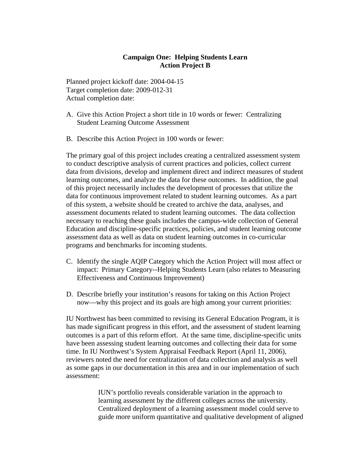## **Campaign One: Helping Students Learn Action Project B**

Planned project kickoff date: 2004-04-15 Target completion date: 2009-012-31 Actual completion date:

- A. Give this Action Project a short title in 10 words or fewer: Centralizing Student Learning Outcome Assessment
- B. Describe this Action Project in 100 words or fewer:

The primary goal of this project includes creating a centralized assessment system to conduct descriptive analysis of current practices and policies, collect current data from divisions, develop and implement direct and indirect measures of student learning outcomes, and analyze the data for these outcomes. In addition, the goal of this project necessarily includes the development of processes that utilize the data for continuous improvement related to student learning outcomes. As a part of this system, a website should be created to archive the data, analyses, and assessment documents related to student learning outcomes. The data collection necessary to reaching these goals includes the campus-wide collection of General Education and discipline-specific practices, policies, and student learning outcome assessment data as well as data on student learning outcomes in co-curricular programs and benchmarks for incoming students.

- C. Identify the single AQIP Category which the Action Project will most affect or impact: Primary Category--Helping Students Learn (also relates to Measuring Effectiveness and Continuous Improvement)
- D. Describe briefly your institution's reasons for taking on this Action Project now—why this project and its goals are high among your current priorities:

IU Northwest has been committed to revising its General Education Program, it is has made significant progress in this effort, and the assessment of student learning outcomes is a part of this reform effort. At the same time, discipline-specific units have been assessing student learning outcomes and collecting their data for some time. In IU Northwest's System Appraisal Feedback Report (April 11, 2006), reviewers noted the need for centralization of data collection and analysis as well as some gaps in our documentation in this area and in our implementation of such assessment:

> IUN's portfolio reveals considerable variation in the approach to learning assessment by the different colleges across the university. Centralized deployment of a learning assessment model could serve to guide more uniform quantitative and qualitative development of aligned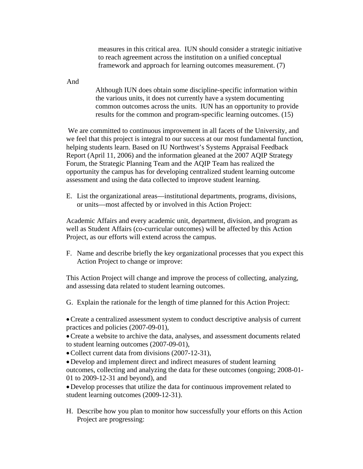measures in this critical area. IUN should consider a strategic initiative to reach agreement across the institution on a unified conceptual framework and approach for learning outcomes measurement. (7)

And

Although IUN does obtain some discipline-specific information within the various units, it does not currently have a system documenting common outcomes across the units. IUN has an opportunity to provide results for the common and program-specific learning outcomes. (15)

 We are committed to continuous improvement in all facets of the University, and we feel that this project is integral to our success at our most fundamental function, helping students learn. Based on IU Northwest's Systems Appraisal Feedback Report (April 11, 2006) and the information gleaned at the 2007 AQIP Strategy Forum, the Strategic Planning Team and the AQIP Team has realized the opportunity the campus has for developing centralized student learning outcome assessment and using the data collected to improve student learning.

E. List the organizational areas—institutional departments, programs, divisions, or units—most affected by or involved in this Action Project:

Academic Affairs and every academic unit, department, division, and program as well as Student Affairs (co-curricular outcomes) will be affected by this Action Project, as our efforts will extend across the campus.

F. Name and describe briefly the key organizational processes that you expect this Action Project to change or improve:

This Action Project will change and improve the process of collecting, analyzing, and assessing data related to student learning outcomes.

G. Explain the rationale for the length of time planned for this Action Project:

•Create a centralized assessment system to conduct descriptive analysis of current practices and policies (2007-09-01),

•Create a website to archive the data, analyses, and assessment documents related to student learning outcomes (2007-09-01),

• Collect current data from divisions (2007-12-31),

•Develop and implement direct and indirect measures of student learning outcomes, collecting and analyzing the data for these outcomes (ongoing; 2008-01- 01 to 2009-12-31 and beyond), and

•Develop processes that utilize the data for continuous improvement related to student learning outcomes (2009-12-31).

H. Describe how you plan to monitor how successfully your efforts on this Action Project are progressing: